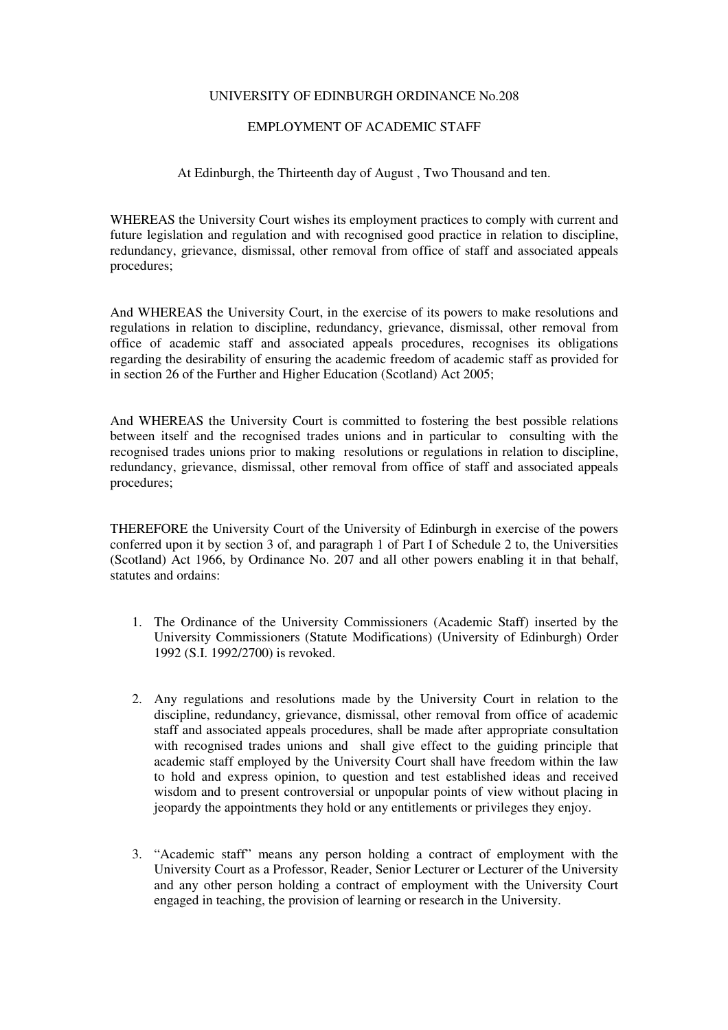## UNIVERSITY OF EDINBURGH ORDINANCE No.208

## EMPLOYMENT OF ACADEMIC STAFF

## At Edinburgh, the Thirteenth day of August , Two Thousand and ten.

WHEREAS the University Court wishes its employment practices to comply with current and future legislation and regulation and with recognised good practice in relation to discipline, redundancy, grievance, dismissal, other removal from office of staff and associated appeals procedures;

And WHEREAS the University Court, in the exercise of its powers to make resolutions and regulations in relation to discipline, redundancy, grievance, dismissal, other removal from office of academic staff and associated appeals procedures, recognises its obligations regarding the desirability of ensuring the academic freedom of academic staff as provided for in section 26 of the Further and Higher Education (Scotland) Act 2005;

And WHEREAS the University Court is committed to fostering the best possible relations between itself and the recognised trades unions and in particular to consulting with the recognised trades unions prior to making resolutions or regulations in relation to discipline, redundancy, grievance, dismissal, other removal from office of staff and associated appeals procedures;

THEREFORE the University Court of the University of Edinburgh in exercise of the powers conferred upon it by section 3 of, and paragraph 1 of Part I of Schedule 2 to, the Universities (Scotland) Act 1966, by Ordinance No. 207 and all other powers enabling it in that behalf, statutes and ordains:

- 1. The Ordinance of the University Commissioners (Academic Staff) inserted by the University Commissioners (Statute Modifications) (University of Edinburgh) Order 1992 (S.I. 1992/2700) is revoked.
- 2. Any regulations and resolutions made by the University Court in relation to the discipline, redundancy, grievance, dismissal, other removal from office of academic staff and associated appeals procedures, shall be made after appropriate consultation with recognised trades unions and shall give effect to the guiding principle that academic staff employed by the University Court shall have freedom within the law to hold and express opinion, to question and test established ideas and received wisdom and to present controversial or unpopular points of view without placing in jeopardy the appointments they hold or any entitlements or privileges they enjoy.
- 3. "Academic staff" means any person holding a contract of employment with the University Court as a Professor, Reader, Senior Lecturer or Lecturer of the University and any other person holding a contract of employment with the University Court engaged in teaching, the provision of learning or research in the University.